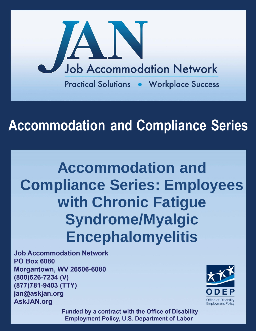

# **Accommodation and Compliance Series**

# **Accommodation and Compliance Series: Employees with Chronic Fatigue Syndrome/Myalgic Encephalomyelitis**

**Job Accommodation Network PO Box 6080 Morgantown, WV 26506-6080** (800)526-7234 (V) (877)781-9403 (TTY) jan@askjan.org **AskJAN.org** 



**Funded by a contract with the Office of Disability Employment Policy, U.S. Department of Labor**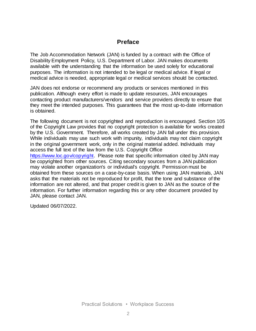# **Preface**

The Job Accommodation Network (JAN) is funded by a contract with the Office of Disability Employment Policy, U.S. Department of Labor. JAN makes documents available with the understanding that the information be used solely for educational purposes. The information is not intended to be legal or medical advice. If legal or medical advice is needed, appropriate legal or medical services should be contacted.

JAN does not endorse or recommend any products or services mentioned in this publication. Although every effort is made to update resources, JAN encourages contacting product manufacturers/vendors and service providers directly to ensure that they meet the intended purposes. This guarantees that the most up-to-date information is obtained.

The following document is not copyrighted and reproduction is encouraged. Section 105 of the Copyright Law provides that no copyright protection is available for works created by the U.S. Government. Therefore, all works created by JAN fall under this provision. While individuals may use such work with impunity, individuals may not claim copyright in the original government work, only in the original material added. Individuals may access the full text of the law from the U.S. Copyright Office [https://www.loc.gov/copyright.](https://www.loc.gov/copyright) Please note that specific information cited by JAN may be copyrighted from other sources. Citing secondary sources from a JAN publication may violate another organization's or individual's copyright. Permission must be obtained from these sources on a case-by-case basis. When using JAN materials, JAN asks that the materials not be reproduced for profit, that the tone and substance of the information are not altered, and that proper credit is given to JAN as the source of the information. For further information regarding this or any other document provided by JAN, please contact JAN.

Updated 06/07/2022.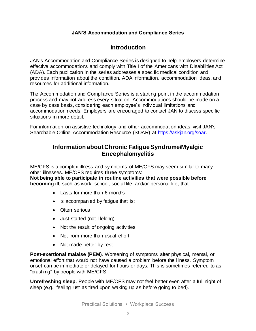## **JAN'S Accommodation and Compliance Series**

# **Introduction**

JAN's Accommodation and Compliance Series is designed to help employers determine effective accommodations and comply with Title I of the Americans with Disabilities Act (ADA). Each publication in the series addresses a specific medical condition and provides information about the condition, ADA information, accommodation ideas, and resources for additional information.

The Accommodation and Compliance Series is a starting point in the accommodation process and may not address every situation. Accommodations should be made on a case by case basis, considering each employee's individual limitations and accommodation needs. Employers are encouraged to contact JAN to discuss specific situations in more detail.

For information on assistive technology and other accommodation ideas, visit JAN's Searchable Online Accommodation Resource (SOAR) at [https://askjan.org/soar.](https://askjan.org/soar)

# **Information about Chronic Fatigue Syndrome/Myalgic Encephalomyelitis**

ME/CFS is a complex illness and symptoms of ME/CFS may seem similar to many other illnesses. ME/CFS requires **three** symptoms:

**Not being able to participate in routine activities that were possible before becoming ill**, such as work, school, social life, and/or personal life, that:

- Lasts for more than 6 months
- Is accompanied by fatigue that is:
- Often serious
- Just started (not lifelong)
- Not the result of ongoing activities
- Not from more than usual effort
- Not made better by rest

**Post-exertional malaise (PEM)**. Worsening of symptoms after physical, mental, or emotional effort that would not have caused a problem before the illness. Symptom onset can be immediate or delayed for hours or days. This is sometimes referred to as "crashing" by people with ME/CFS.

**Unrefreshing sleep**. People with ME/CFS may not feel better even after a full night of sleep (e.g., feeling just as tired upon waking up as before going to bed).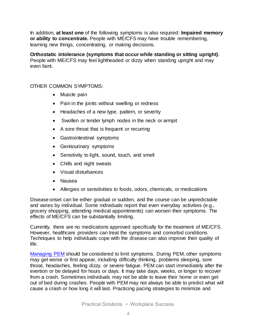In addition, **at least one** of the following symptoms is also required: **Impaired memory or ability to concentrate.** People with ME/CFS may have trouble remembering, learning new things, concentrating, or making decisions.

**Orthostatic intolerance (symptoms that occur while standing or sitting upright)**. People with ME/CFS may feel lightheaded or dizzy when standing upright and may even faint.

## OTHER COMMON SYMPTOMS:

- Muscle pain
- Pain in the joints without swelling or redness
- Headaches of a new type, pattern, or severity
- Swollen or tender lymph nodes in the neck or armpit
- A sore throat that is frequent or recurring
- Gastrointestinal symptoms
- Genitourinary symptoms
- Sensitivity to light, sound, touch, and smell
- Chills and night sweats
- Visual disturbances
- Nausea
- Allergies or sensitivities to foods, odors, chemicals, or medications

Disease onset can be either gradual or sudden, and the course can be unpredictable and varies by individual. Some individuals report that even everyday activities (e.g., grocery shopping, attending medical appointments) can worsen their symptoms. The effects of ME/CFS can be substantially limiting.

Currently, there are no medications approved specifically for the treatment of ME/CFS. However, healthcare providers can treat the symptoms and comorbid conditions. Techniques to help individuals cope with the disease can also improve their quality of life.

[Managing PEM](https://www.cdc.gov/me-cfs/pdfs/toolkit/Managing-PEM_508.pdf) should be considered to limit symptoms. During PEM, other symptoms may get worse or first appear, including difficulty thinking, problems sleeping, sore throat, headaches, feeling dizzy, or severe fatigue. PEM can start immediately after the exertion or be delayed for hours or days. It may take days, weeks, or longer to recover from a crash. Sometimes individuals may not be able to leave their home or even get out of bed during crashes. People with PEM may not always be able to predict what will cause a crash or how long it will last. Practicing pacing strategies to minimize and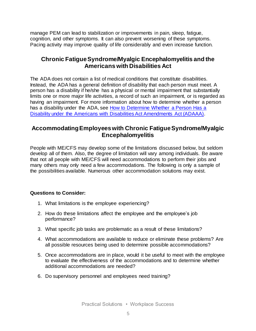manage PEM can lead to stabilization or improvements in pain, sleep, fatigue, cognition, and other symptoms. It can also prevent worsening of these symptoms. Pacing activity may improve quality of life considerably and even increase function.

# **Chronic Fatigue Syndrome/Myalgic Encephalomyelitis and the Americans with Disabilities Act**

The ADA does not contain a list of medical conditions that constitute disabilities. Instead, the ADA has a general definition of disability that each person must meet. A person has a disability if he/she has a physical or mental impairment that substantially limits one or more major life activities, a record of such an impairment, or is regarded as having an impairment. For more information about how to determine whether a person has a disability under the ADA, see How to Determine Whether a Person Has a [Disability under the Americans with Disabilities Act Amendments Act \(ADAAA\).](http://askjan.org/corner/vol05iss04.htm)

# **Accommodating Employees with Chronic Fatigue Syndrome/Myalgic Encephalomyelitis**

People with ME/CFS may develop some of the limitations discussed below, but seldom develop all of them. Also, the degree of limitation will vary among individuals. Be aware that not all people with ME/CFS will need accommodations to perform their jobs and many others may only need a few accommodations. The following is only a sample of the possibilities available. Numerous other accommodation solutions may exist.

#### **Questions to Consider:**

- 1. What limitations is the employee experiencing?
- 2. How do these limitations affect the employee and the employee's job performance?
- 3. What specific job tasks are problematic as a result of these limitations?
- 4. What accommodations are available to reduce or eliminate these problems? Are all possible resources being used to determine possible accommodations?
- 5. Once accommodations are in place, would it be useful to meet with the employee to evaluate the effectiveness of the accommodations and to determine whether additional accommodations are needed?
- 6. Do supervisory personnel and employees need training?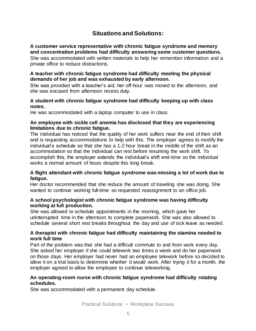# **Situations and Solutions:**

#### **A customer service representative with chronic fatigue syndrome and memory and concentration problems had difficulty answering some customer questions.** She was accommodated with written materials to help her remember information and a

**A teacher with chronic fatigue syndrome had difficulty meeting the physical demands of her job and was exhausted by early afternoon.**

She was provided with a teacher's aid, her off-hour was moved to the afternoon, and she was excused from afternoon recess duty.

## **A student with chronic fatigue syndrome had difficulty keeping up with class notes.**

He was accommodated with a laptop computer to use in class.

private office to reduce distractions.

### **An employee with sickle cell anemia has disclosed that they are experiencing limitations due to chronic fatigue.**

The individual has noticed that the quality of her work suffers near the end of their shift and is requesting accommodations to help with this. The employer agrees to modify the individual's schedule so that she has a 1-2 hour break in the middle of the shift as an accommodation so that the individual can rest before resuming the work shift. To accomplish this, the employer extends the individual's shift end-time so the individual works a normal amount of hours despite this long break.

## **A flight attendant with chronic fatigue syndrome was missing a lot of work due to fatigue.**

Her doctor recommended that she reduce the amount of traveling she was doing. She wanted to continue working full-time so requested reassignment to an office job.

## **A school psychologist with chronic fatigue syndrome was having difficulty working at full production.**

She was allowed to schedule appointments in the morning, which gave her uninterrupted time in the afternoon to complete paperwork. She was also allowed to schedule several short rest breaks throughout the day and use of sick leave as needed.

## **A therapist with chronic fatigue had difficulty maintaining the stamina needed to work full time**

Part of the problem was that she had a difficult commute to and from work every day. She asked her employer if she could telework two times a week and do her paperwork on those days. Her employer had never had an employee telework before so decided to allow it on a trial basis to determine whether it would work. After trying it for a month, the employer agreed to allow the employee to continue teleworking.

## **An operating-room nurse with chronic fatigue syndrome had difficulty rotating schedules.**

She was accommodated with a permanent day schedule.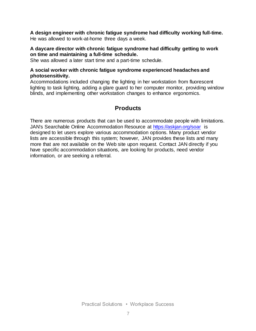**A design engineer with chronic fatigue syndrome had difficulty working full-time.** He was allowed to work-at-home three days a week.

#### **A daycare director with chronic fatigue syndrome had difficulty getting to work on time and maintaining a full-time schedule.**

She was allowed a later start time and a part-time schedule.

## **A social worker with chronic fatigue syndrome experienced headaches and photosensitivity.**

Accommodations included changing the lighting in her workstation from fluorescent lighting to task lighting, adding a glare guard to her computer monitor, providing window blinds, and implementing other workstation changes to enhance ergonomics.

# **Products**

There are numerous products that can be used to accommodate people with limitations. JAN's Searchable Online Accommodation Resource at<https://askjan.org/soar> is designed to let users explore various accommodation options. Many product vendor lists are accessible through this system; however, JAN provides these lists and many more that are not available on the Web site upon request. Contact JAN directly if you have specific accommodation situations, are looking for products, need vendor information, or are seeking a referral.